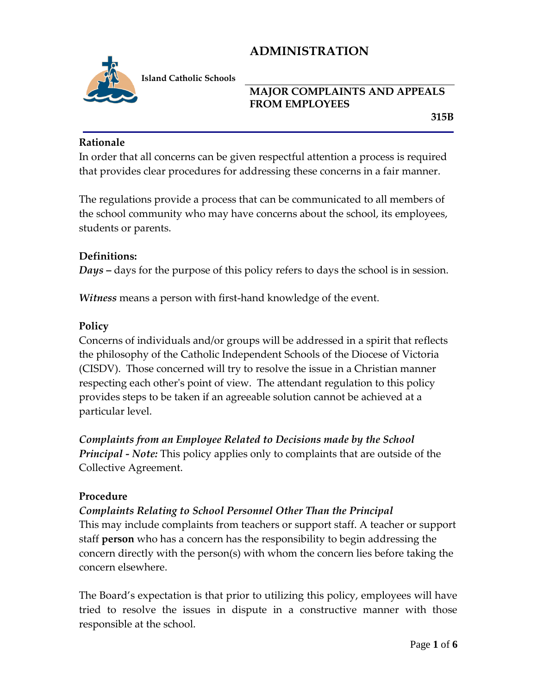

**Island Catholic Schools** 

#### **MAJOR COMPLAINTS AND APPEALS FROM EMPLOYEES**

 **315B**

#### **Rationale**

In order that all concerns can be given respectful attention a process is required that provides clear procedures for addressing these concerns in a fair manner.

The regulations provide a process that can be communicated to all members of the school community who may have concerns about the school, its employees, students or parents.

#### **Definitions:**

*Days* **–** days for the purpose of this policy refers to days the school is in session.

*Witness* means a person with first-hand knowledge of the event.

#### **Policy**

Concerns of individuals and/or groups will be addressed in a spirit that reflects the philosophy of the Catholic Independent Schools of the Diocese of Victoria (CISDV). Those concerned will try to resolve the issue in a Christian manner respecting each other's point of view. The attendant regulation to this policy provides steps to be taken if an agreeable solution cannot be achieved at a particular level.

*Complaints from an Employee Related to Decisions made by the School Principal - Note:* This policy applies only to complaints that are outside of the Collective Agreement.

## **Procedure**

*Complaints Relating to School Personnel Other Than the Principal*

This may include complaints from teachers or support staff. A teacher or support staff **person** who has a concern has the responsibility to begin addressing the concern directly with the person(s) with whom the concern lies before taking the concern elsewhere.

The Board's expectation is that prior to utilizing this policy, employees will have tried to resolve the issues in dispute in a constructive manner with those responsible at the school.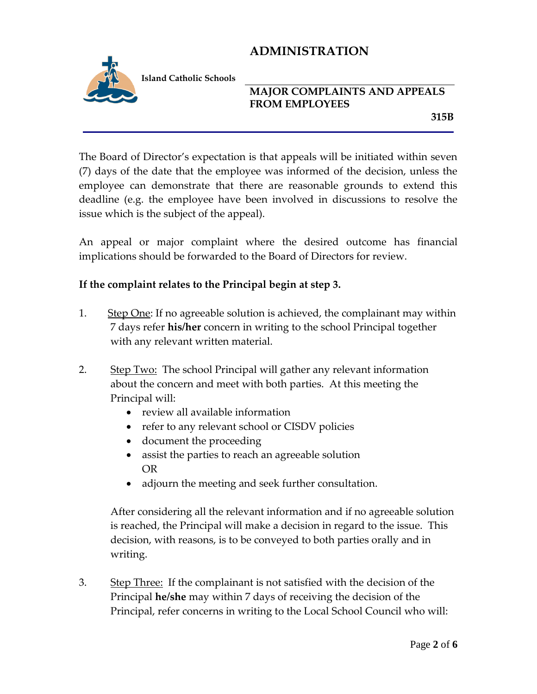

**Island Catholic Schools** 

## **MAJOR COMPLAINTS AND APPEALS FROM EMPLOYEES**

 **315B**

The Board of Director's expectation is that appeals will be initiated within seven (7) days of the date that the employee was informed of the decision, unless the employee can demonstrate that there are reasonable grounds to extend this deadline (e.g. the employee have been involved in discussions to resolve the issue which is the subject of the appeal).

An appeal or major complaint where the desired outcome has financial implications should be forwarded to the Board of Directors for review.

#### **If the complaint relates to the Principal begin at step 3.**

- 1. Step One: If no agreeable solution is achieved, the complainant may within 7 days refer **his/her** concern in writing to the school Principal together with any relevant written material.
- 2. Step Two: The school Principal will gather any relevant information about the concern and meet with both parties. At this meeting the Principal will:
	- review all available information
	- refer to any relevant school or CISDV policies
	- document the proceeding
	- assist the parties to reach an agreeable solution OR
	- adjourn the meeting and seek further consultation.

After considering all the relevant information and if no agreeable solution is reached, the Principal will make a decision in regard to the issue. This decision, with reasons, is to be conveyed to both parties orally and in writing.

3. Step Three: If the complainant is not satisfied with the decision of the Principal **he/she** may within 7 days of receiving the decision of the Principal, refer concerns in writing to the Local School Council who will: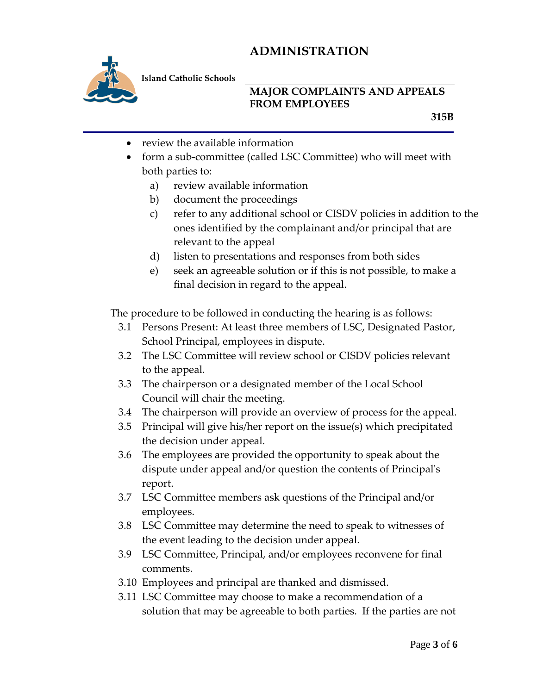

**Island Catholic Schools** 

#### **MAJOR COMPLAINTS AND APPEALS FROM EMPLOYEES**

 **315B**

- review the available information
- form a sub-committee (called LSC Committee) who will meet with both parties to:
	- a) review available information
	- b) document the proceedings
	- c) refer to any additional school or CISDV policies in addition to the ones identified by the complainant and/or principal that are relevant to the appeal
	- d) listen to presentations and responses from both sides
	- e) seek an agreeable solution or if this is not possible, to make a final decision in regard to the appeal.

The procedure to be followed in conducting the hearing is as follows:

- 3.1 Persons Present: At least three members of LSC, Designated Pastor, School Principal, employees in dispute.
- 3.2 The LSC Committee will review school or CISDV policies relevant to the appeal.
- 3.3 The chairperson or a designated member of the Local School Council will chair the meeting.
- 3.4 The chairperson will provide an overview of process for the appeal.
- 3.5 Principal will give his/her report on the issue(s) which precipitated the decision under appeal.
- 3.6 The employees are provided the opportunity to speak about the dispute under appeal and/or question the contents of Principal's report.
- 3.7 LSC Committee members ask questions of the Principal and/or employees.
- 3.8 LSC Committee may determine the need to speak to witnesses of the event leading to the decision under appeal.
- 3.9 LSC Committee, Principal, and/or employees reconvene for final comments.
- 3.10 Employees and principal are thanked and dismissed.
- 3.11 LSC Committee may choose to make a recommendation of a solution that may be agreeable to both parties. If the parties are not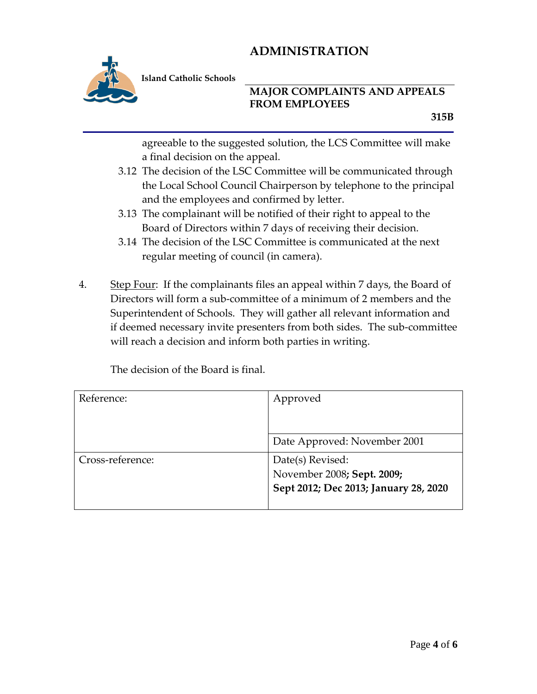

**Island Catholic Schools** 

#### **MAJOR COMPLAINTS AND APPEALS FROM EMPLOYEES**

agreeable to the suggested solution, the LCS Committee will make a final decision on the appeal.

- 3.12 The decision of the LSC Committee will be communicated through the Local School Council Chairperson by telephone to the principal and the employees and confirmed by letter.
- 3.13 The complainant will be notified of their right to appeal to the Board of Directors within 7 days of receiving their decision.
- 3.14 The decision of the LSC Committee is communicated at the next regular meeting of council (in camera).
- 4. Step Four: If the complainants files an appeal within 7 days, the Board of Directors will form a sub-committee of a minimum of 2 members and the Superintendent of Schools. They will gather all relevant information and if deemed necessary invite presenters from both sides. The sub-committee will reach a decision and inform both parties in writing.

The decision of the Board is final.

| Reference:       | Approved                                                                                |
|------------------|-----------------------------------------------------------------------------------------|
|                  |                                                                                         |
|                  | Date Approved: November 2001                                                            |
| Cross-reference: | Date(s) Revised:<br>November 2008; Sept. 2009;<br>Sept 2012; Dec 2013; January 28, 2020 |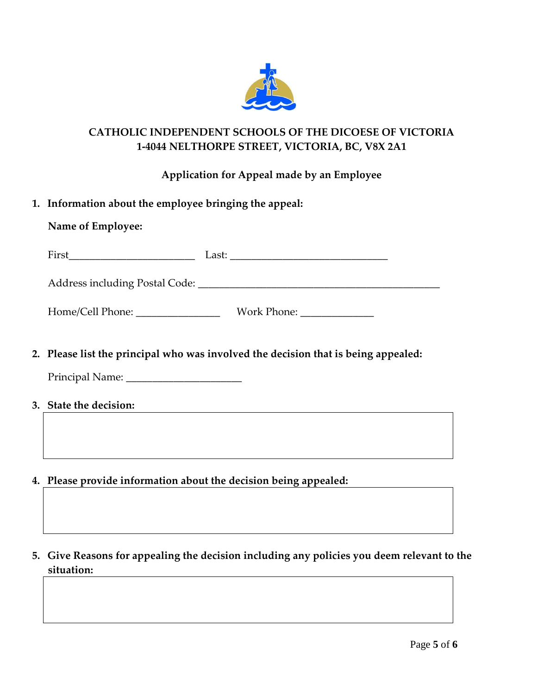

## **CATHOLIC INDEPENDENT SCHOOLS OF THE DICOESE OF VICTORIA 1-4044 NELTHORPE STREET, VICTORIA, BC, V8X 2A1**

**Application for Appeal made by an Employee** 

|  | 1. Information about the employee bringing the appeal: |  |  |  |  |
|--|--------------------------------------------------------|--|--|--|--|
|--|--------------------------------------------------------|--|--|--|--|

| Name of Employee:                       |       |             |                                                                 |  |
|-----------------------------------------|-------|-------------|-----------------------------------------------------------------|--|
| First                                   | Last: |             | <u> 1980 - John Stein, Amerikaansk konstantinopler († 1901)</u> |  |
| Address including Postal Code: ________ |       |             |                                                                 |  |
| Home/Cell Phone:                        |       | Work Phone: |                                                                 |  |

**2. Please list the principal who was involved the decision that is being appealed:**

Principal Name: \_\_\_\_\_\_\_\_\_\_\_\_\_\_\_\_\_\_\_\_\_\_

- **3. State the decision:**
- **4. Please provide information about the decision being appealed:**
- **5. Give Reasons for appealing the decision including any policies you deem relevant to the situation:**